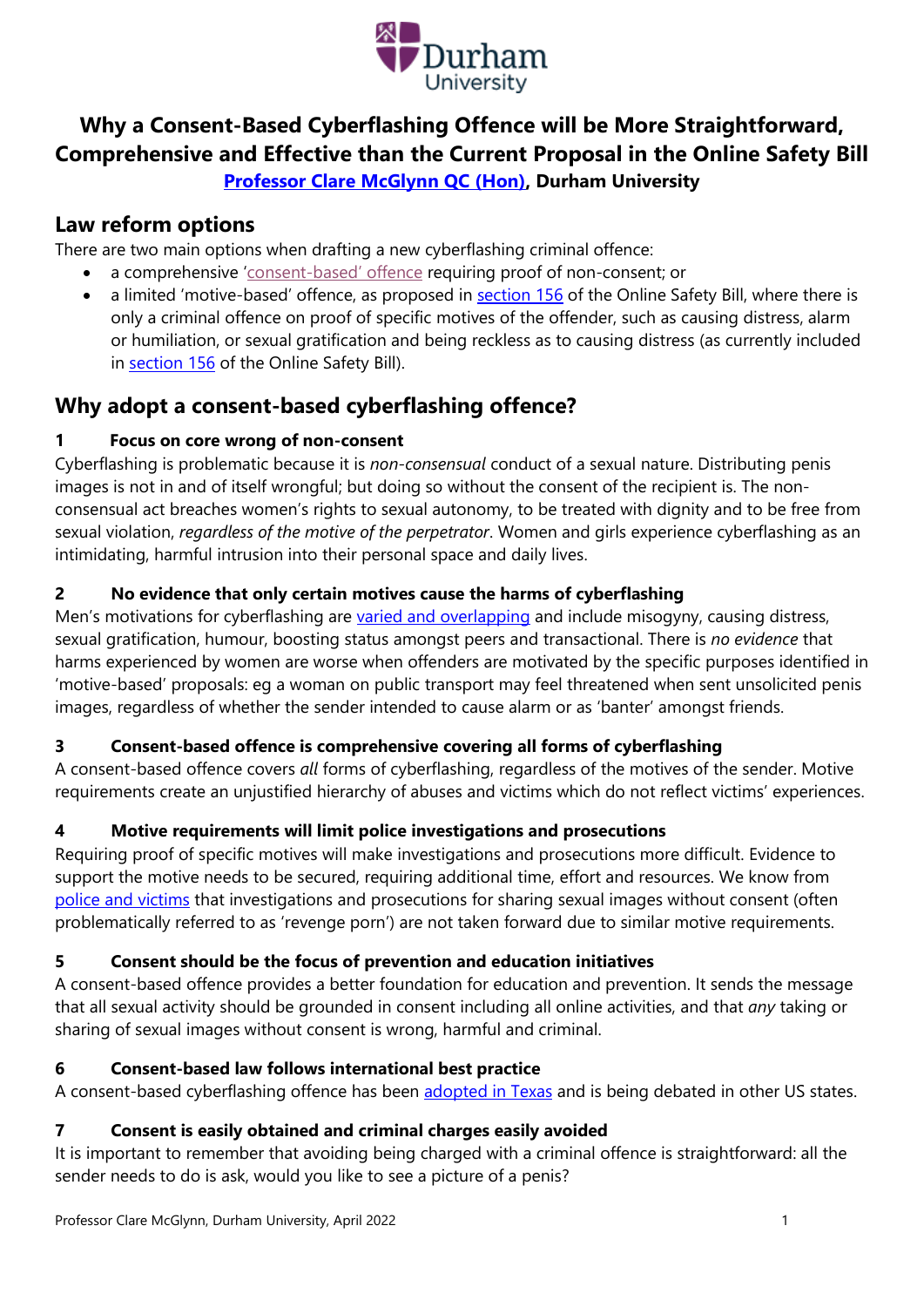

# **Why a Consent-Based Cyberflashing Offence will be More Straightforward, Comprehensive and Effective than the Current Proposal in the Online Safety Bill [Professor Clare McGlynn QC \(Hon\),](https://claremcglynn.com/) Durham University**

# **Law reform options**

There are two main options when drafting a new cyberflashing criminal offence:

- a comprehensive 'consent-[based' offence](https://www.independent.co.uk/voices/cyberflashing-new-law-online-safety-bill-b1888633.html) requiring proof of non-consent; or
- a limited 'motive-based' offence, as proposed in **section 156** of the Online Safety Bill, where there is only a criminal offence on proof of specific motives of the offender, such as causing distress, alarm or humiliation, or sexual gratification and being reckless as to causing distress (as currently included in [section 156](https://publications.parliament.uk/pa/bills/cbill/58-02/0285/210285.pdf) of the Online Safety Bill).

# **Why adopt a consent-based cyberflashing offence?**

## **1 Focus on core wrong of non-consent**

Cyberflashing is problematic because it is *non-consensual* conduct of a sexual nature. Distributing penis images is not in and of itself wrongful; but doing so without the consent of the recipient is. The nonconsensual act breaches women's rights to sexual autonomy, to be treated with dignity and to be free from sexual violation, *regardless of the motive of the perpetrator*. Women and girls experience cyberflashing as an intimidating, harmful intrusion into their personal space and daily lives.

## **2 No evidence that only certain motives cause the harms of cyberflashing**

Men's motivations for cyberflashing are [varied and overlapping](https://bristoluniversitypress.co.uk/asset/9542/cyberflashing-policy-briefing-final.pdf) and include misogyny, causing distress, sexual gratification, humour, boosting status amongst peers and transactional. There is *no evidence* that harms experienced by women are worse when offenders are motivated by the specific purposes identified in 'motive-based' proposals: eg a woman on public transport may feel threatened when sent unsolicited penis images, regardless of whether the sender intended to cause alarm or as 'banter' amongst friends.

## **3 Consent-based offence is comprehensive covering all forms of cyberflashing**

A consent-based offence covers *all* forms of cyberflashing, regardless of the motives of the sender. Motive requirements create an unjustified hierarchy of abuses and victims which do not reflect victims' experiences.

## **4 Motive requirements will limit police investigations and prosecutions**

Requiring proof of specific motives will make investigations and prosecutions more difficult. Evidence to support the motive needs to be secured, requiring additional time, effort and resources. We know from [police and victims](https://claremcglynn.files.wordpress.com/2019/10/shattering-lives-and-myths-revised-aug-2019.pdf) that investigations and prosecutions for sharing sexual images without consent (often problematically referred to as 'revenge porn') are not taken forward due to similar motive requirements.

## **5 Consent should be the focus of prevention and education initiatives**

A consent-based offence provides a better foundation for education and prevention. It sends the message that all sexual activity should be grounded in consent including all online activities, and that *any* taking or sharing of sexual images without consent is wrong, harmful and criminal.

## **6 Consent-based law follows international best practice**

A consent-based cyberflashing offence has been [adopted in Texas](https://journals.sagepub.com/doi/10.1177/0022018320972306) and is being debated in other US states.

## **7 Consent is easily obtained and criminal charges easily avoided**

It is important to remember that avoiding being charged with a criminal offence is straightforward: all the sender needs to do is ask, would you like to see a picture of a penis?